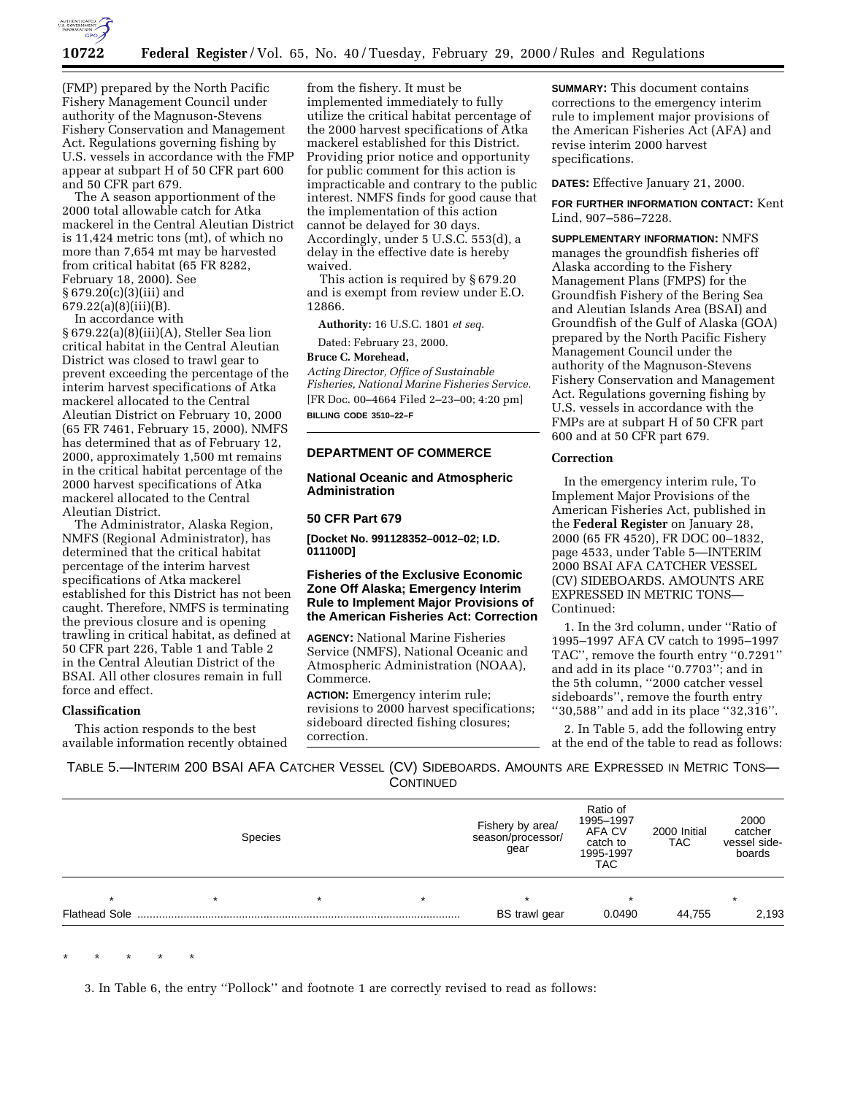

(FMP) prepared by the North Pacific Fishery Management Council under authority of the Magnuson-Stevens Fishery Conservation and Management Act. Regulations governing fishing by U.S. vessels in accordance with the FMP appear at subpart H of 50 CFR part 600 and 50 CFR part 679.

The A season apportionment of the 2000 total allowable catch for Atka mackerel in the Central Aleutian District is 11,424 metric tons (mt), of which no more than 7,654 mt may be harvested from critical habitat (65 FR 8282, February 18, 2000). See § 679.20(c)(3)(iii) and 679.22(a)(8)(iii)(B).

In accordance with

§ 679.22(a)(8)(iii)(A), Steller Sea lion critical habitat in the Central Aleutian District was closed to trawl gear to prevent exceeding the percentage of the interim harvest specifications of Atka mackerel allocated to the Central Aleutian District on February 10, 2000 (65 FR 7461, February 15, 2000). NMFS has determined that as of February 12, 2000, approximately 1,500 mt remains in the critical habitat percentage of the 2000 harvest specifications of Atka mackerel allocated to the Central Aleutian District.

The Administrator, Alaska Region, NMFS (Regional Administrator), has determined that the critical habitat percentage of the interim harvest specifications of Atka mackerel established for this District has not been caught. Therefore, NMFS is terminating the previous closure and is opening trawling in critical habitat, as defined at 50 CFR part 226, Table 1 and Table 2 in the Central Aleutian District of the BSAI. All other closures remain in full force and effect.

#### **Classification**

This action responds to the best available information recently obtained

from the fishery. It must be implemented immediately to fully utilize the critical habitat percentage of the 2000 harvest specifications of Atka mackerel established for this District. Providing prior notice and opportunity for public comment for this action is impracticable and contrary to the public interest. NMFS finds for good cause that the implementation of this action cannot be delayed for 30 days. Accordingly, under 5 U.S.C. 553(d), a delay in the effective date is hereby waived.

This action is required by § 679.20 and is exempt from review under E.O. 12866.

**Authority:** 16 U.S.C. 1801 *et seq*.

Dated: February 23, 2000.

#### **Bruce C. Morehead,**

*Acting Director, Office of Sustainable Fisheries, National Marine Fisheries Service.* [FR Doc. 00–4664 Filed 2–23–00; 4:20 pm] **BILLING CODE 3510–22–F**

#### **DEPARTMENT OF COMMERCE**

**National Oceanic and Atmospheric Administration**

## **50 CFR Part 679**

**[Docket No. 991128352–0012–02; I.D. 011100D]**

## **Fisheries of the Exclusive Economic Zone Off Alaska; Emergency Interim Rule to Implement Major Provisions of the American Fisheries Act: Correction**

**AGENCY:** National Marine Fisheries Service (NMFS), National Oceanic and Atmospheric Administration (NOAA), Commerce.

**ACTION:** Emergency interim rule; revisions to 2000 harvest specifications; sideboard directed fishing closures; correction.

**SUMMARY:** This document contains corrections to the emergency interim rule to implement major provisions of the American Fisheries Act (AFA) and revise interim 2000 harvest specifications.

### **DATES:** Effective January 21, 2000.

**FOR FURTHER INFORMATION CONTACT:** Kent Lind, 907–586–7228.

**SUPPLEMENTARY INFORMATION:** NMFS manages the groundfish fisheries off Alaska according to the Fishery Management Plans (FMPS) for the Groundfish Fishery of the Bering Sea and Aleutian Islands Area (BSAI) and Groundfish of the Gulf of Alaska (GOA) prepared by the North Pacific Fishery Management Council under the authority of the Magnuson-Stevens Fishery Conservation and Management Act. Regulations governing fishing by U.S. vessels in accordance with the FMPs are at subpart H of 50 CFR part 600 and at 50 CFR part 679.

#### **Correction**

In the emergency interim rule, To Implement Major Provisions of the American Fisheries Act, published in the **Federal Register** on January 28, 2000 (65 FR 4520), FR DOC 00–1832, page 4533, under Table 5—INTERIM 2000 BSAI AFA CATCHER VESSEL (CV) SIDEBOARDS. AMOUNTS ARE EXPRESSED IN METRIC TONS— Continued:

1. In the 3rd column, under ''Ratio of 1995–1997 AFA CV catch to 1995–1997 TAC'', remove the fourth entry ''0.7291'' and add in its place ''0.7703''; and in the 5th column, ''2000 catcher vessel sideboards'', remove the fourth entry ''30,588'' and add in its place ''32,316''.

2. In Table 5, add the following entry at the end of the table to read as follows:

TABLE 5.—INTERIM 200 BSAI AFA CATCHER VESSEL (CV) SIDEBOARDS. AMOUNTS ARE EXPRESSED IN METRIC TONS— **CONTINUED** 

|                      | <b>Species</b> |         |         | Fishery by area/<br>season/processor/<br>gear | Ratio of<br>1995-1997<br>AFA CV<br>catch to<br>1995-1997<br>TAC | 2000 Initial<br><b>TAC</b> | 2000<br>catcher<br>vessel side-<br>boards |
|----------------------|----------------|---------|---------|-----------------------------------------------|-----------------------------------------------------------------|----------------------------|-------------------------------------------|
| $\star$              |                | $\star$ | $\star$ |                                               |                                                                 |                            | $\star$                                   |
| <b>Flathead Sole</b> |                |         |         | BS trawl gear                                 | 0.0490                                                          | 44,755                     | 2,193                                     |

\* \* \* \* \*

3. In Table 6, the entry ''Pollock'' and footnote 1 are correctly revised to read as follows: